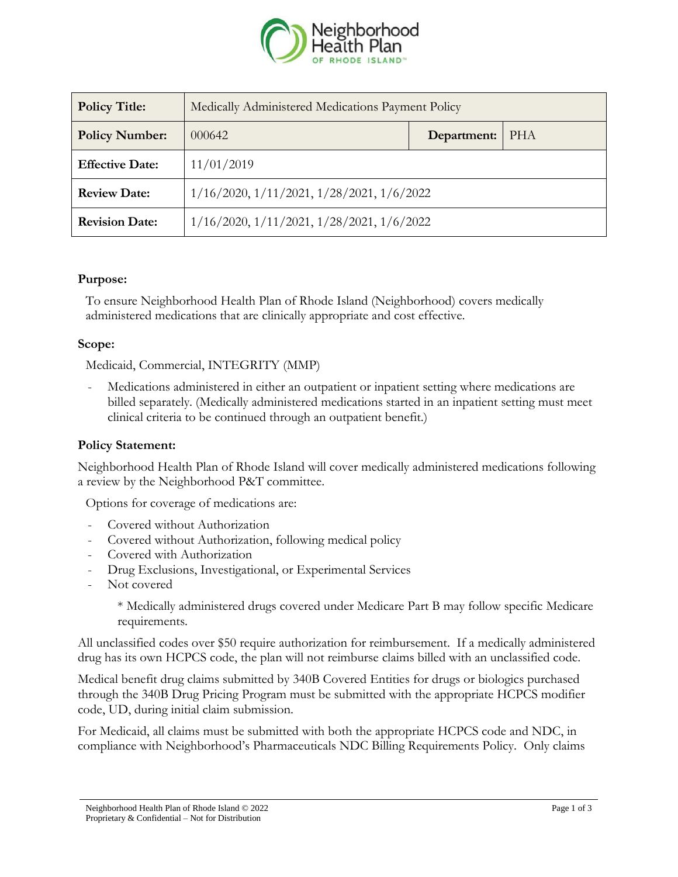

| <b>Policy Title:</b>   | Medically Administered Medications Payment Policy    |             |     |
|------------------------|------------------------------------------------------|-------------|-----|
| <b>Policy Number:</b>  | 000642                                               | Department: | PHA |
| <b>Effective Date:</b> | 11/01/2019                                           |             |     |
| <b>Review Date:</b>    | $1/16/2020$ , $1/11/2021$ , $1/28/2021$ , $1/6/2022$ |             |     |
| <b>Revision Date:</b>  | $1/16/2020$ , $1/11/2021$ , $1/28/2021$ , $1/6/2022$ |             |     |

## **Purpose:**

To ensure Neighborhood Health Plan of Rhode Island (Neighborhood) covers medically administered medications that are clinically appropriate and cost effective.

## **Scope:**

Medicaid, Commercial, INTEGRITY (MMP)

Medications administered in either an outpatient or inpatient setting where medications are billed separately. (Medically administered medications started in an inpatient setting must meet clinical criteria to be continued through an outpatient benefit.)

## **Policy Statement:**

Neighborhood Health Plan of Rhode Island will cover medically administered medications following a review by the Neighborhood P&T committee.

Options for coverage of medications are:

- Covered without Authorization
- Covered without Authorization, following medical policy
- Covered with Authorization
- Drug Exclusions, Investigational, or Experimental Services
- Not covered

\* Medically administered drugs covered under Medicare Part B may follow specific Medicare requirements.

All unclassified codes over \$50 require authorization for reimbursement. If a medically administered drug has its own HCPCS code, the plan will not reimburse claims billed with an unclassified code.

Medical benefit drug claims submitted by 340B Covered Entities for drugs or biologics purchased through the 340B Drug Pricing Program must be submitted with the appropriate HCPCS modifier code, UD, during initial claim submission.

For Medicaid, all claims must be submitted with both the appropriate HCPCS code and NDC, in compliance with Neighborhood's Pharmaceuticals NDC Billing Requirements Policy. Only claims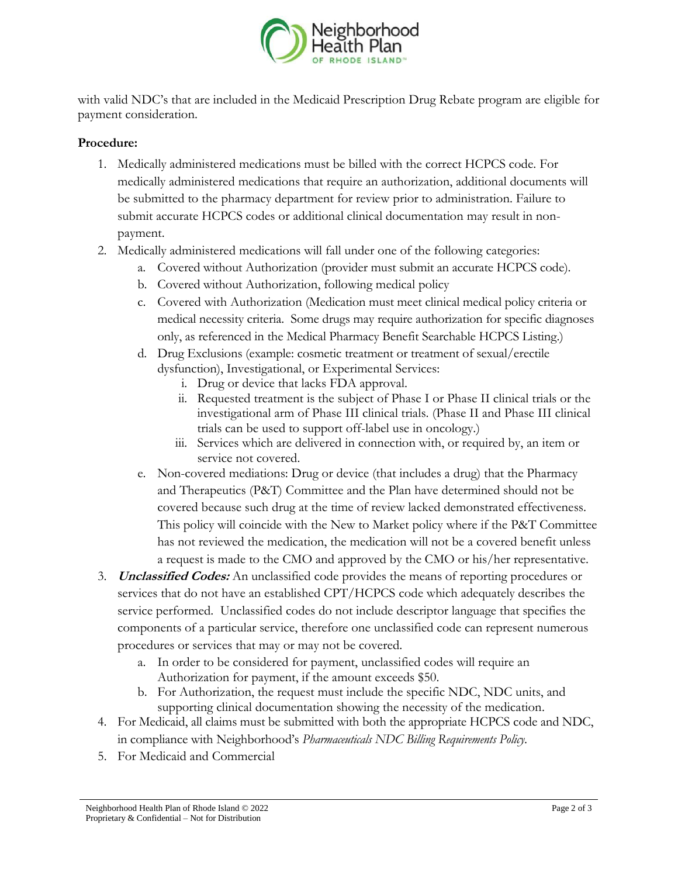

with valid NDC's that are included in the Medicaid Prescription Drug Rebate program are eligible for payment consideration.

## **Procedure:**

- 1. Medically administered medications must be billed with the correct HCPCS code. For medically administered medications that require an authorization, additional documents will be submitted to the pharmacy department for review prior to administration. Failure to submit accurate HCPCS codes or additional clinical documentation may result in nonpayment.
- 2. Medically administered medications will fall under one of the following categories:
	- a. Covered without Authorization (provider must submit an accurate HCPCS code).
	- b. Covered without Authorization, following medical policy
	- c. Covered with Authorization (Medication must meet clinical medical policy criteria or medical necessity criteria. Some drugs may require authorization for specific diagnoses only, as referenced in the Medical Pharmacy Benefit Searchable HCPCS Listing.)
	- d. Drug Exclusions (example: cosmetic treatment or treatment of sexual/erectile dysfunction), Investigational, or Experimental Services:
		- i. Drug or device that lacks FDA approval.
		- ii. Requested treatment is the subject of Phase I or Phase II clinical trials or the investigational arm of Phase III clinical trials. (Phase II and Phase III clinical trials can be used to support off-label use in oncology.)
		- iii. Services which are delivered in connection with, or required by, an item or service not covered.
	- e. Non-covered mediations: Drug or device (that includes a drug) that the Pharmacy and Therapeutics (P&T) Committee and the Plan have determined should not be covered because such drug at the time of review lacked demonstrated effectiveness. This policy will coincide with the New to Market policy where if the P&T Committee has not reviewed the medication, the medication will not be a covered benefit unless a request is made to the CMO and approved by the CMO or his/her representative.
- 3. **Unclassified Codes:** An unclassified code provides the means of reporting procedures or services that do not have an established CPT/HCPCS code which adequately describes the service performed. Unclassified codes do not include descriptor language that specifies the components of a particular service, therefore one unclassified code can represent numerous procedures or services that may or may not be covered.
	- a. In order to be considered for payment, unclassified codes will require an Authorization for payment, if the amount exceeds \$50.
	- b. For Authorization, the request must include the specific NDC, NDC units, and supporting clinical documentation showing the necessity of the medication.
- 4. For Medicaid, all claims must be submitted with both the appropriate HCPCS code and NDC, in compliance with Neighborhood's *Pharmaceuticals NDC Billing Requirements Policy*.
- 5. For Medicaid and Commercial